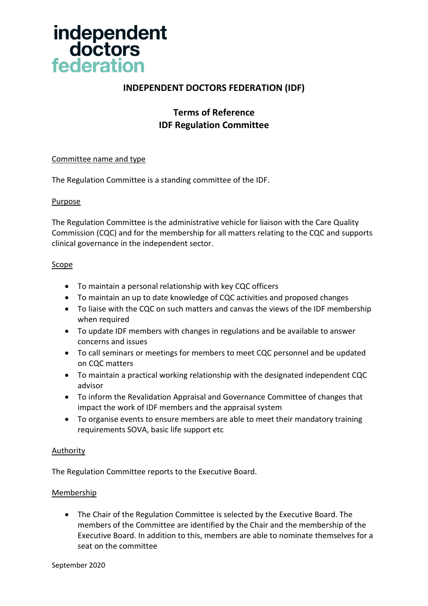

# **INDEPENDENT DOCTORS FEDERATION (IDF)**

# **Terms of Reference IDF Regulation Committee**

## Committee name and type

The Regulation Committee is a standing committee of the IDF.

#### Purpose

The Regulation Committee is the administrative vehicle for liaison with the Care Quality Commission (CQC) and for the membership for all matters relating to the CQC and supports clinical governance in the independent sector.

## Scope

- To maintain a personal relationship with key CQC officers
- To maintain an up to date knowledge of CQC activities and proposed changes
- To liaise with the CQC on such matters and canvas the views of the IDF membership when required
- To update IDF members with changes in regulations and be available to answer concerns and issues
- To call seminars or meetings for members to meet CQC personnel and be updated on CQC matters
- To maintain a practical working relationship with the designated independent CQC advisor
- To inform the Revalidation Appraisal and Governance Committee of changes that impact the work of IDF members and the appraisal system
- To organise events to ensure members are able to meet their mandatory training requirements SOVA, basic life support etc

#### **Authority**

The Regulation Committee reports to the Executive Board.

#### Membership

• The Chair of the Regulation Committee is selected by the Executive Board. The members of the Committee are identified by the Chair and the membership of the Executive Board. In addition to this, members are able to nominate themselves for a seat on the committee